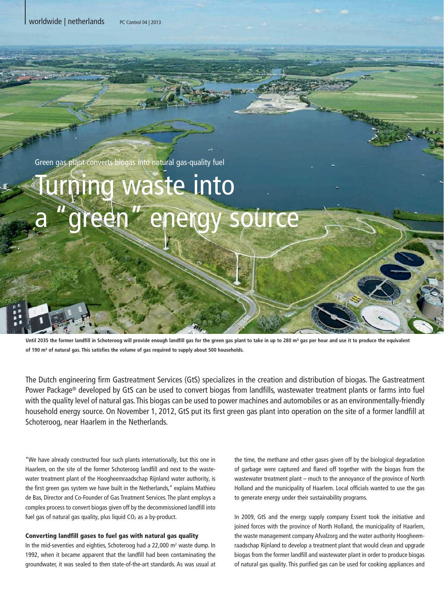| worldwide | netherlands PC Control 04 | 2013

Green gas plant converts biogas into natural gas-quality fuel

## urning waste into areen" energy source

Until 2035 the former landfill in Schoteroog will provide enough landfill gas for the green gas plant to take in up to 280 m<sup>3</sup> gas per hour and use it to produce the equivalent **of 190 m³ of natural gas. This satisfies the volume of gas required to supply about 500 households.**

The Dutch engineering firm Gastreatment Services (GtS) specializes in the creation and distribution of biogas. The Gastreatment Power Package® developed by GtS can be used to convert biogas from landfills, wastewater treatment plants or farms into fuel with the quality level of natural gas. This biogas can be used to power machines and automobiles or as an environmentally-friendly household energy source. On November 1, 2012, GtS put its first green gas plant into operation on the site of a former landfill at Schoteroog, near Haarlem in the Netherlands.

"We have already constructed four such plants internationally, but this one in Haarlem, on the site of the former Schoteroog landfill and next to the wastewater treatment plant of the Hoogheemraadschap Rijnland water authority, is the first green gas system we have built in the Netherlands," explains Mathieu de Bas, Director and Co-Founder of Gas Treatment Services. The plant employs a complex process to convert biogas given off by the decommissioned landfill into fuel gas of natural gas quality, plus liquid  $CO<sub>2</sub>$  as a by-product.

## Converting landfill gases to fuel gas with natural gas quality

In the mid-seventies and eighties, Schoteroog had a 22,000 m<sup>2</sup> waste dump. In 1992, when it became apparent that the landfill had been contaminating the groundwater, it was sealed to then state-of-the-art standards. As was usual at

the time, the methane and other gases given off by the biological degradation of garbage were captured and flared off together with the biogas from the wastewater treatment plant – much to the annoyance of the province of North Holland and the municipality of Haarlem. Local officials wanted to use the gas to generate energy under their sustainability programs.

In 2009, GtS and the energy supply company Essent took the initiative and joined forces with the province of North Holland, the municipality of Haarlem, the waste management company Afvalzorg and the water authority Hoogheemraadschap Rijnland to develop a treatment plant that would clean and upgrade biogas from the former landfill and wastewater plant in order to produce biogas of natural gas quality. This purified gas can be used for cooking appliances and